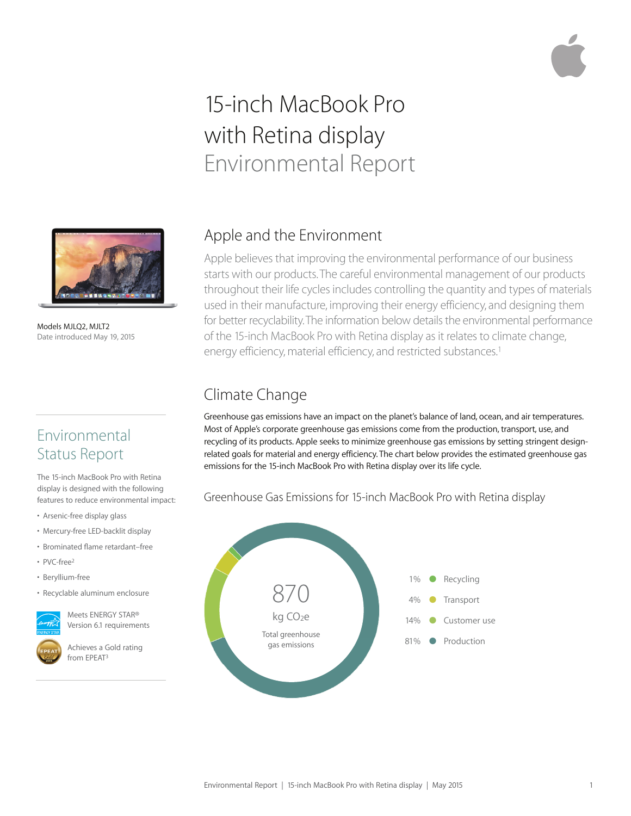# 15-inch MacBook Pro with Retina display Environmental Report



Models MJLQ2, MJLT2 Date introduced May 19, 2015

#### Environmental Status Report

The 15-inch MacBook Pro with Retina display is designed with the following features to reduce environmental impact:

- Arsenic-free display glass
- Mercury-free LED-backlit display
- Brominated flame retardant–free
- PVC-free2
- Beryllium-free
- Recyclable aluminum enclosure



Meets ENERGY STAR® Version 6.1 requirements

Achieves a Gold rating from EPEAT<sup>3</sup>

#### Apple and the Environment

Apple believes that improving the environmental performance of our business starts with our products. The careful environmental management of our products throughout their life cycles includes controlling the quantity and types of materials used in their manufacture, improving their energy efficiency, and designing them for better recyclability. The information below details the environmental performance of the 15-inch MacBook Pro with Retina display as it relates to climate change, energy efficiency, material efficiency, and restricted substances.<sup>1</sup>

### Climate Change

Greenhouse gas emissions have an impact on the planet's balance of land, ocean, and air temperatures. Most of Apple's corporate greenhouse gas emissions come from the production, transport, use, and recycling of its products. Apple seeks to minimize greenhouse gas emissions by setting stringent designrelated goals for material and energy efficiency. The chart below provides the estimated greenhouse gas emissions for the 15-inch MacBook Pro with Retina display over its life cycle.

Greenhouse Gas Emissions for 15-inch MacBook Pro with Retina display

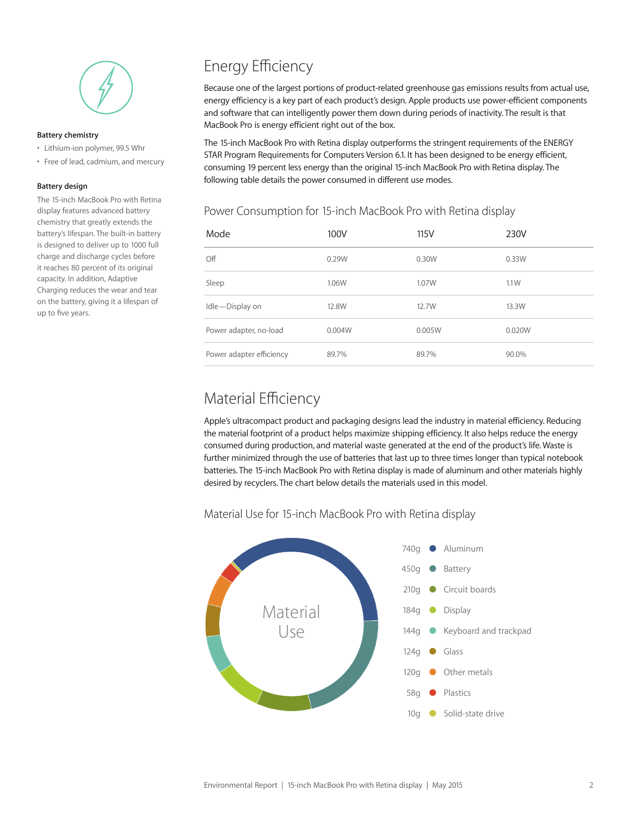

#### **Battery chemistry**

- Lithium-ion polymer, 99.5 Whr
- Free of lead, cadmium, and mercury

#### **Battery design**

The 15-inch MacBook Pro with Retina display features advanced battery chemistry that greatly extends the battery's lifespan. The built-in battery is designed to deliver up to 1000 full charge and discharge cycles before it reaches 80 percent of its original capacity. In addition, Adaptive Charging reduces the wear and tear on the battery, giving it a lifespan of up to five years.

### Energy Efficiency

Because one of the largest portions of product-related greenhouse gas emissions results from actual use, energy efficiency is a key part of each product's design. Apple products use power-efficient components and software that can intelligently power them down during periods of inactivity. The result is that MacBook Pro is energy efficient right out of the box.

The 15-inch MacBook Pro with Retina display outperforms the stringent requirements of the ENERGY STAR Program Requirements for Computers Version 6.1. It has been designed to be energy efficient, consuming 19 percent less energy than the original 15-inch MacBook Pro with Retina display. The following table details the power consumed in different use modes.

## Power Consumption for 15-inch MacBook Pro with Retina display

| Mode                     | 100V   | 115V   | 230V   |
|--------------------------|--------|--------|--------|
| Off                      | 0.29W  | 0.30W  | 0.33W  |
| Sleep                    | 1.06W  | 1.07W  | 1.1W   |
| Idle-Display on          | 12.8W  | 12.7W  | 13.3W  |
| Power adapter, no-load   | 0.004W | 0.005W | 0.020W |
| Power adapter efficiency | 89.7%  | 89.7%  | 90.0%  |

#### Material Efficiency

Apple's ultracompact product and packaging designs lead the industry in material efficiency. Reducing the material footprint of a product helps maximize shipping efficiency. It also helps reduce the energy consumed during production, and material waste generated at the end of the product's life. Waste is further minimized through the use of batteries that last up to three times longer than typical notebook batteries. The 15-inch MacBook Pro with Retina display is made of aluminum and other materials highly desired by recyclers. The chart below details the materials used in this model.

#### Material Use for 15-inch MacBook Pro with Retina display

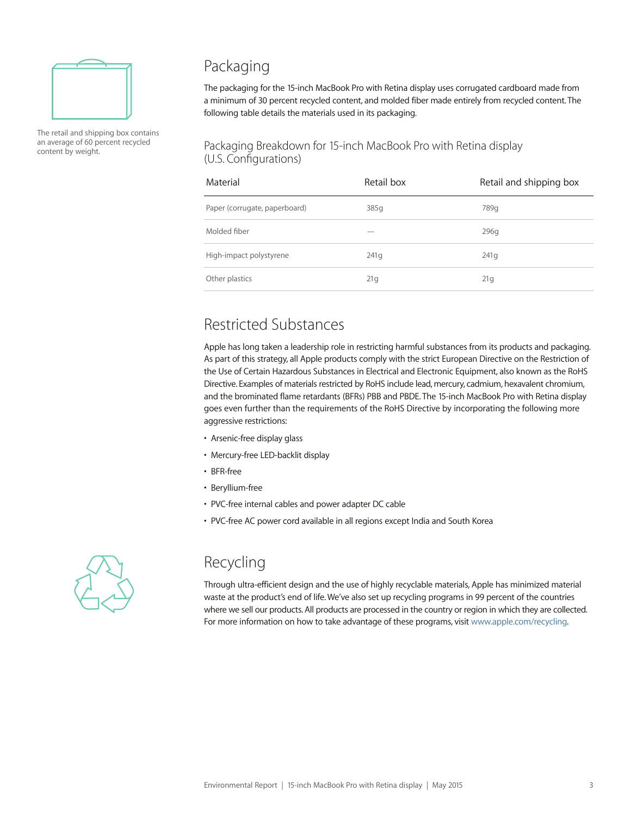

The retail and shipping box contains an average of 60 percent recycled content by weight.

#### Packaging

The packaging for the 15-inch MacBook Pro with Retina display uses corrugated cardboard made from a minimum of 30 percent recycled content, and molded fiber made entirely from recycled content. The following table details the materials used in its packaging.

#### Packaging Breakdown for 15-inch MacBook Pro with Retina display (U.S. Configurations)

| Material                      | Retail box | Retail and shipping box |
|-------------------------------|------------|-------------------------|
| Paper (corrugate, paperboard) | 385q       | 789g                    |
| Molded fiber                  |            | 296g                    |
| High-impact polystyrene       | 241q       | 241q                    |
| Other plastics                | 21g        | 21q                     |

### Restricted Substances

Apple has long taken a leadership role in restricting harmful substances from its products and packaging. As part of this strategy, all Apple products comply with the strict European Directive on the Restriction of the Use of Certain Hazardous Substances in Electrical and Electronic Equipment, also known as the RoHS Directive. Examples of materials restricted by RoHS include lead, mercury, cadmium, hexavalent chromium, and the brominated flame retardants (BFRs) PBB and PBDE. The 15-inch MacBook Pro with Retina display goes even further than the requirements of the RoHS Directive by incorporating the following more aggressive restrictions:

- Arsenic-free display glass
- Mercury-free LED-backlit display
- BFR-free
- Beryllium-free
- PVC-free internal cables and power adapter DC cable
- PVC-free AC power cord available in all regions except India and South Korea



### Recycling

Through ultra-efficient design and the use of highly recyclable materials, Apple has minimized material waste at the product's end of life. We've also set up recycling programs in 99 percent of the countries where we sell our products. All products are processed in the country or region in which they are collected. For more information on how to take advantage of these programs, visit www.apple.com/recycling.